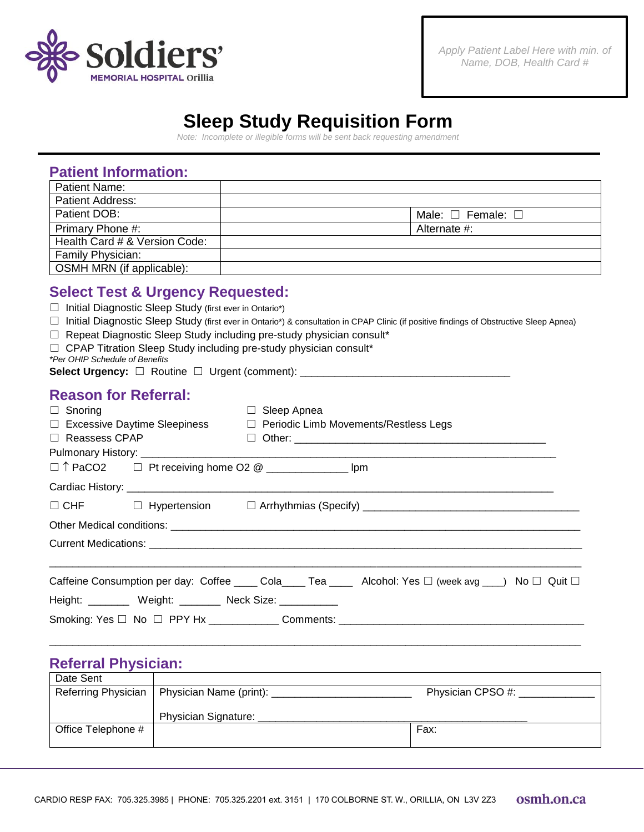

## **Sleep Study Requisition Form**

*Note: Incomplete or illegible forms will be sent back requesting amendment*

| Patient Name:                 |                                   |
|-------------------------------|-----------------------------------|
| <b>Patient Address:</b>       |                                   |
| Patient DOB:                  | Male: $\square$ Female: $\square$ |
| Primary Phone #:              | Alternate #:                      |
| Health Card # & Version Code: |                                   |
| Family Physician:             |                                   |
| OSMH MRN (if applicable):     |                                   |

## **Select Test & Urgency Requested:**

|  |  | $\Box$ Initial Diagnostic Sleep Study (first ever in Ontario*) |  |  |  |  |
|--|--|----------------------------------------------------------------|--|--|--|--|
|--|--|----------------------------------------------------------------|--|--|--|--|

- ☐ Initial Diagnostic Sleep Study (first ever in Ontario\*) & consultation in CPAP Clinic (if positive findings of Obstructive Sleep Apnea)
- □ Repeat Diagnostic Sleep Study including pre-study physician consult\*
- $\Box$  CPAP Titration Sleep Study including pre-study physician consult\*
- *\*Per OHIP Schedule of Benefits*

**Select Urgency:** □ Routine □ Urgent (comment):

## **Reason for Referral:**

| $\Box$ Snoring                                             | Sleep Apnea<br>П                                                                                         |  |  |  |  |  |  |  |
|------------------------------------------------------------|----------------------------------------------------------------------------------------------------------|--|--|--|--|--|--|--|
|                                                            | $\Box$ Excessive Daytime Sleepiness $\Box$ Periodic Limb Movements/Restless Legs                         |  |  |  |  |  |  |  |
| $\Box$ Reassess CPAP                                       |                                                                                                          |  |  |  |  |  |  |  |
| □ ↑ PaCO2 □ Pt receiving home O2 @ ________________ lpm    |                                                                                                          |  |  |  |  |  |  |  |
|                                                            |                                                                                                          |  |  |  |  |  |  |  |
|                                                            | □ CHF □ Hypertension □ Arrhythmias (Specify) ___________________________________                         |  |  |  |  |  |  |  |
|                                                            |                                                                                                          |  |  |  |  |  |  |  |
|                                                            |                                                                                                          |  |  |  |  |  |  |  |
|                                                            |                                                                                                          |  |  |  |  |  |  |  |
|                                                            | Caffeine Consumption per day: Coffee _____ Cola_____ Tea _____ Alcohol: Yes □ (week avg ___) No □ Quit □ |  |  |  |  |  |  |  |
| Height: __________ Weight: ________ Neck Size: ___________ |                                                                                                          |  |  |  |  |  |  |  |
|                                                            | Smoking: Yes □ No □ PPY Hx _____________Comments: ______________________________                         |  |  |  |  |  |  |  |

## **Referral Physician:**

| Date Sent          |                                                                    |      |  |
|--------------------|--------------------------------------------------------------------|------|--|
|                    | Referring Physician   Physician Name (print):<br>Physician CPSO #: |      |  |
|                    |                                                                    |      |  |
|                    | Physician Signature:                                               |      |  |
| Office Telephone # |                                                                    | Fax: |  |
|                    |                                                                    |      |  |

 $\Box$